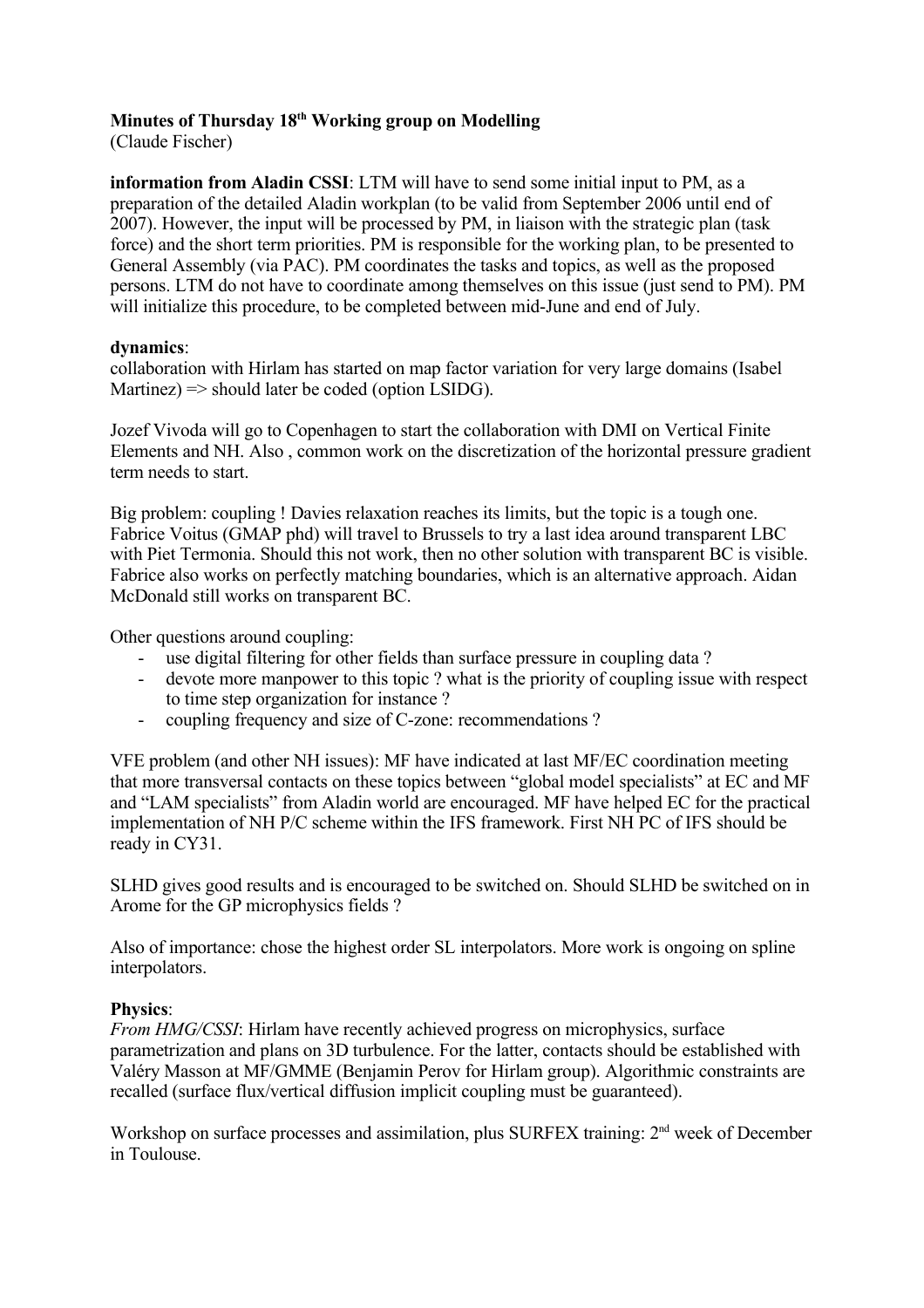# **Minutes of Thursday 18 th Working group on Modelling**

(Claude Fischer)

**information from Aladin CSSI**: LTM will have to send some initial input to PM, as a preparation of the detailed Aladin workplan (to be valid from September 2006 until end of 2007). However, the input will be processed by PM, in liaison with the strategic plan (task force) and the short term priorities. PM is responsible for the working plan, to be presented to General Assembly (via PAC). PM coordinates the tasks and topics, as well as the proposed persons. LTM do not have to coordinate among themselves on this issue (just send to PM). PM will initialize this procedure, to be completed between mid-June and end of July.

## **dynamics**:

collaboration with Hirlam has started on map factor variation for very large domains (Isabel Martinez)  $\Rightarrow$  should later be coded (option LSIDG).

Jozef Vivoda will go to Copenhagen to start the collaboration with DMI on Vertical Finite Elements and NH. Also , common work on the discretization of the horizontal pressure gradient term needs to start.

Big problem: coupling ! Davies relaxation reaches its limits, but the topic is a tough one. Fabrice Voitus (GMAP phd) will travel to Brussels to try a last idea around transparent LBC with Piet Termonia. Should this not work, then no other solution with transparent BC is visible. Fabrice also works on perfectly matching boundaries, which is an alternative approach. Aidan McDonald still works on transparent BC.

Other questions around coupling:

- use digital filtering for other fields than surface pressure in coupling data?
- devote more manpower to this topic ? what is the priority of coupling issue with respect to time step organization for instance ?
- coupling frequency and size of C-zone: recommendations ?

VFE problem (and other NH issues): MF have indicated at last MF/EC coordination meeting that more transversal contacts on these topics between "global model specialists" at EC and MF and "LAM specialists" from Aladin world are encouraged. MF have helped EC for the practical implementation of NH P/C scheme within the IFS framework. First NH PC of IFS should be ready in CY31.

SLHD gives good results and is encouraged to be switched on. Should SLHD be switched on in Arome for the GP microphysics fields ?

Also of importance: chose the highest order SL interpolators. More work is ongoing on spline interpolators.

## **Physics**:

*From HMG/CSSI*: Hirlam have recently achieved progress on microphysics, surface parametrization and plans on 3D turbulence. For the latter, contacts should be established with Valéry Masson at MF/GMME (Benjamin Perov for Hirlam group). Algorithmic constraints are recalled (surface flux/vertical diffusion implicit coupling must be guaranteed).

Workshop on surface processes and assimilation, plus SURFEX training: 2<sup>nd</sup> week of December in Toulouse.